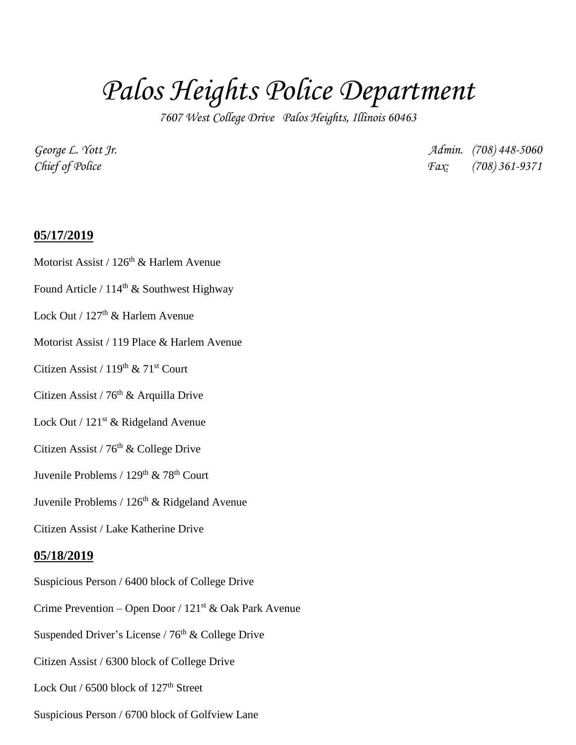## *Palos Heights Police Department*

*7607 West College Drive Palos Heights, Illinois 60463*

*George L. Yott Jr. Admin. (708) 448-5060 Chief of Police Fax: (708) 361-9371*

## **05/17/2019**

- Motorist Assist /  $126<sup>th</sup>$  & Harlem Avenue
- Found Article /  $114<sup>th</sup>$  & Southwest Highway
- Lock Out /  $127<sup>th</sup>$  & Harlem Avenue
- Motorist Assist / 119 Place & Harlem Avenue
- Citizen Assist /  $119^{th}$  &  $71^{st}$  Court
- Citizen Assist /  $76<sup>th</sup>$  & Arquilla Drive
- Lock Out /  $121<sup>st</sup>$  & Ridgeland Avenue
- Citizen Assist / 76<sup>th</sup> & College Drive
- Juvenile Problems /  $129^{th}$  & 78<sup>th</sup> Court
- Juvenile Problems /  $126<sup>th</sup>$  & Ridgeland Avenue
- Citizen Assist / Lake Katherine Drive

## **05/18/2019**

- Suspicious Person / 6400 block of College Drive
- Crime Prevention Open Door /  $121<sup>st</sup>$  & Oak Park Avenue
- Suspended Driver's License /  $76<sup>th</sup>$  & College Drive
- Citizen Assist / 6300 block of College Drive
- Lock Out /  $6500$  block of  $127<sup>th</sup>$  Street
- Suspicious Person / 6700 block of Golfview Lane